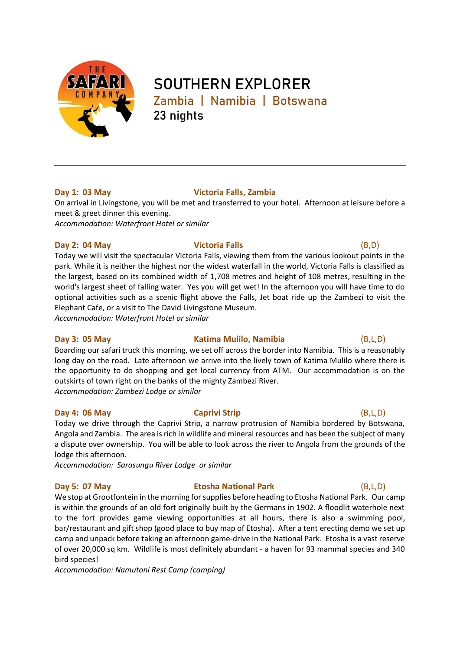

# **SOUTHERN EXPLORER Zambia | Namibia | Botswana 23 nights**

# **Day 1: 03 May Victoria Falls, Zambia**

On arrival in Livingstone, you will be met and transferred to your hotel. Afternoon at leisure before a meet & greet dinner this evening. *Accommodation: Waterfront Hotel or similar*

### **Day 2: 04 May Victoria Falls** (B,D)

Today we will visit the spectacular Victoria Falls, viewing them from the various lookout points in the park. While it is neither the highest nor the widest waterfall in the world, Victoria Falls is classified as the largest, based on its combined width of 1,708 metres and height of 108 metres, resulting in the world's largest sheet of falling water. Yes you will get wet! In the afternoon you will have time to do optional activities such as a scenic flight above the Falls, Jet boat ride up the Zambezi to visit the Elephant Cafe, or a visit to The David Livingstone Museum.

*Accommodation: Waterfront Hotel or similar*

# **Day 3: 05 May Katima Mulilo, Namibia** (B,L,D)

Boarding our safari truck this morning, we set off across the border into Namibia. This is a reasonably long day on the road. Late afternoon we arrive into the lively town of Katima Mulilo where there is the opportunity to do shopping and get local currency from ATM. Our accommodation is on the outskirts of town right on the banks of the mighty Zambezi River. *Accommodation: Zambezi Lodge or similar*

# **Day 4: 06 May Caprivi Strip** (B,L,D)

Today we drive through the Caprivi Strip, a narrow protrusion of Namibia bordered by Botswana, Angola and Zambia. The area is rich in wildlife and mineral resources and has been the subject of many a dispute over ownership. You will be able to look across the river to Angola from the grounds of the lodge this afternoon.

*Accommodation: Sarasungu River Lodge or similar* 

# **Day 5: 07 May Etosha National Park** (B,L,D)

We stop at Grootfontein in the morning for supplies before heading to Etosha National Park. Our camp is within the grounds of an old fort originally built by the Germans in 1902. A floodlit waterhole next to the fort provides game viewing opportunities at all hours, there is also a swimming pool, bar/restaurant and gift shop (good place to buy map of Etosha). After a tent erecting demo we set up camp and unpack before taking an afternoon game-drive in the National Park. Etosha is a vast reserve of over 20,000 sq km. Wildlife is most definitely abundant - a haven for 93 mammal species and 340 bird species!

*Accommodation: Namutoni Rest Camp (camping)*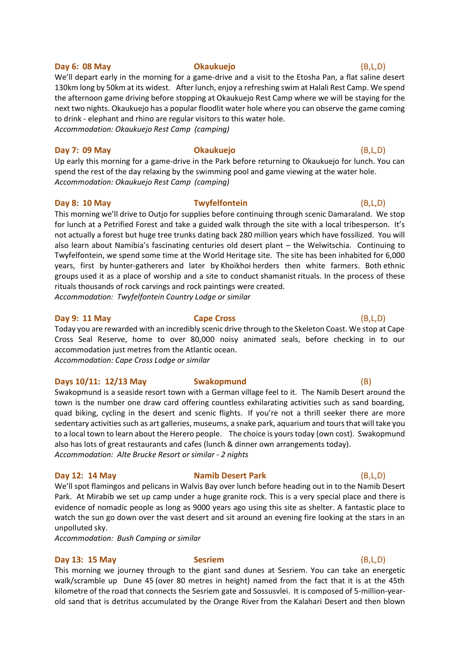### **Day 6: 08 May Okaukuejo** (B,L,D)

# We'll depart early in the morning for a game-drive and a visit to the Etosha Pan, a flat saline desert 130km long by 50km at its widest. After lunch, enjoy a refreshing swim at Halali Rest Camp. We spend the afternoon game driving before stopping at Okaukuejo Rest Camp where we will be staying for the next two nights. Okaukuejo has a popular floodlit water hole where you can observe the game coming to drink - elephant and rhino are regular visitors to this water hole. *Accommodation: Okaukuejo Rest Camp (camping)*

### **Day 7: 09 May Okaukuejo** (B,L,D)

Up early this morning for a game-drive in the Park before returning to Okaukuejo for lunch. You can spend the rest of the day relaxing by the swimming pool and game viewing at the water hole. *Accommodation: Okaukuejo Rest Camp (camping)*

### **Day 8: 10 May Twyfelfontein** (B,L,D)

This morning we'll drive to Outjo for supplies before continuing through scenic Damaraland. We stop for lunch at a Petrified Forest and take a guided walk through the site with a local tribesperson. It's not actually a forest but huge tree trunks dating back 280 million years which have fossilized. You will also learn about Namibia's fascinating centuries old desert plant – the Welwitschia. Continuing to Twyfelfontein, we spend some time at the World Heritage site. The site has been inhabited for 6,000 years, first by [hunter-gatherers](https://en.wikipedia.org/wiki/Hunter-gatherer) and later by [Khoikhoi](https://en.wikipedia.org/wiki/Khoikhoi) herders then white farmers. Both [ethnic](https://en.wikipedia.org/wiki/Ethnic_group)  [groups](https://en.wikipedia.org/wiki/Ethnic_group) used it as a place of worship and a site to conduct [shamanist](https://en.wikipedia.org/wiki/Shamanism) rituals. In the process of these rituals thousands of rock carvings and rock paintings were created. *Accommodation: Twyfelfontein Country Lodge or similar*

### **Day 9: 11 May Cape Cross** (B,L,D)

Today you are rewarded with an incredibly scenic drive through to the Skeleton Coast. We stop at Cape Cross Seal Reserve, home to over 80,000 noisy animated seals, before checking in to our accommodation just metres from the Atlantic ocean.

*Accommodation: Cape Cross Lodge or similar*

### **Days 10/11: 12/13 May Swakopmund** (B)

Swakopmund is a seaside resort town with a German village feel to it. The Namib Desert around the town is the number one draw card offering countless exhilarating activities such as sand boarding, quad biking, cycling in the desert and scenic flights. If you're not a thrill seeker there are more sedentary activities such as art galleries, museums, a snake park, aquarium and tours that will take you to a local town to learn about the Herero people. The choice is yours today (own cost). Swakopmund also has lots of great restaurants and cafes (lunch & dinner own arrangements today). *Accommodation: Alte Brucke Resort or similar - 2 nights*

### **Day 12: 14 May <b>Namib Desert Park** (B,L,D)

We'll spot flamingos and pelicans in Walvis Bay over lunch before heading out in to the Namib Desert Park. At Mirabib we set up camp under a huge granite rock. This is a very special place and there is evidence of nomadic people as long as 9000 years ago using this site as shelter. A fantastic place to watch the sun go down over the vast desert and sit around an evening fire looking at the stars in an unpolluted sky.

*Accommodation: Bush Camping or similar*

### **Day 13: 15 May Sesriem** (B,L,D)

This morning we journey through to the giant sand dunes at Sesriem. You can take an energetic walk/scramble up Dune 45 (over 80 metres in height) named from the fact that it is at the 45th kilometre of the road that connects the [Sesriem](https://en.wikipedia.org/wiki/Sesriem) gate and Sossusvlei. It is composed of 5-million-yearold sand that is detritus accumulated by the [Orange River](https://en.wikipedia.org/wiki/Orange_River) from the [Kalahari Desert](https://en.wikipedia.org/wiki/Kalahari_Desert) and then blown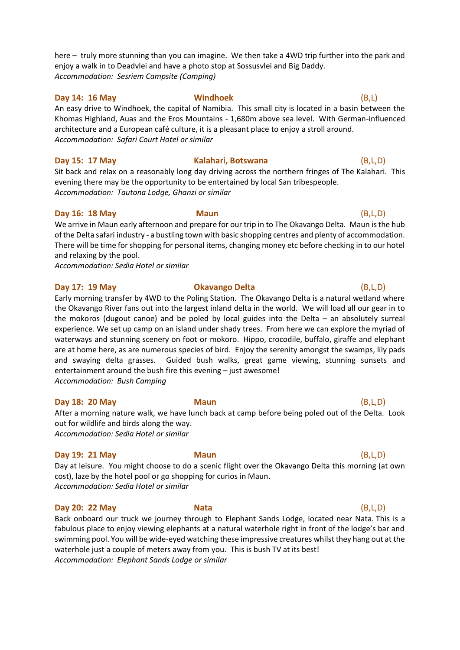here – truly more stunning than you can imagine. We then take a 4WD trip further into the park and enjoy a walk in to Deadvlei and have a photo stop at Sossusvlei and Big Daddy. *Accommodation: Sesriem Campsite (Camping)*

### **Day 14: 16 May Windhoek** (B,L)

An easy drive to Windhoek, the capital of Namibia. This small city is located in a basin between the Khomas Highland, Auas and the Eros Mountains - 1,680m above sea level. With German-influenced architecture and a European café culture, it is a pleasant place to enjoy a stroll around. *Accommodation: Safari Court Hotel or similar*

**Day 15: 17 May Kalahari, Botswana** (B,L,D)

Sit back and relax on a reasonably long day driving across the northern fringes of The Kalahari. This evening there may be the opportunity to be entertained by local San tribespeople. *Accommodation: Tautona Lodge, Ghanzi or similar*

### **Day 16: 18 May Maun** (B,L,D)

We arrive in Maun early afternoon and prepare for our trip in to The Okavango Delta. Maun is the hub of the Delta safari industry - a bustling town with basic shopping centres and plenty of accommodation. There will be time for shopping for personal items, changing money etc before checking in to our hotel and relaxing by the pool.

*Accommodation: Sedia Hotel or similar*

### **Day 17: 19 May Okavango Delta** (B,L,D)

Early morning transfer by 4WD to the Poling Station. The Okavango Delta is a natural wetland where the Okavango River fans out into the largest inland delta in the world. We will load all our gear in to the mokoros (dugout canoe) and be poled by local guides into the Delta – an absolutely surreal experience. We set up camp on an island under shady trees. From here we can explore the myriad of waterways and stunning scenery on foot or mokoro. Hippo, crocodile, buffalo, giraffe and elephant are at home here, as are numerous species of bird. Enjoy the serenity amongst the swamps, lily pads and swaying delta grasses. Guided bush walks, great game viewing, stunning sunsets and entertainment around the bush fire this evening – just awesome! *Accommodation: Bush Camping*

### **Day 18: 20 May Maun** (B,L,D)

After a morning nature walk, we have lunch back at camp before being poled out of the Delta. Look out for wildlife and birds along the way. *Accommodation: Sedia Hotel or similar*

### **Day 19: 21 May Maun** (B,L,D)

Day at leisure. You might choose to do a scenic flight over the Okavango Delta this morning (at own cost), laze by the hotel pool or go shopping for curios in Maun. *Accommodation: Sedia Hotel or similar*

### **Day 20: 22 May Nata** (B,L,D)

Back onboard our truck we journey through to Elephant Sands Lodge, located near Nata. This is a fabulous place to enjoy viewing elephants at a natural waterhole right in front of the lodge's bar and swimming pool. You will be wide-eyed watching these impressive creatures whilst they hang out at the waterhole just a couple of meters away from you. This is bush TV at its best! *Accommodation: Elephant Sands Lodge or similar*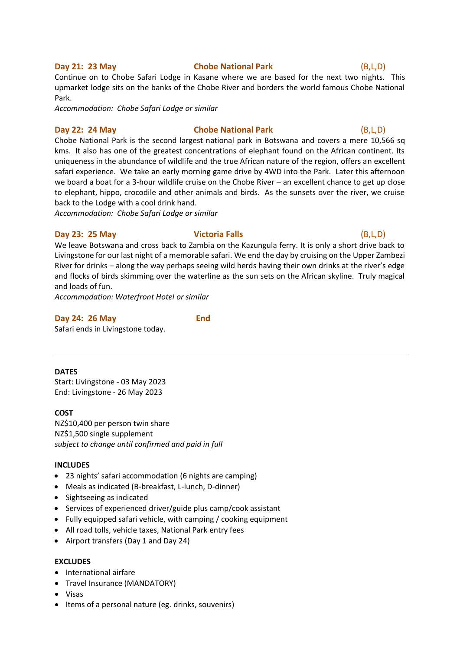### **Day 21: 23 May Chobe National Park** (B,L,D)

# Continue on to Chobe Safari Lodge in Kasane where we are based for the next two nights. This upmarket lodge sits on the banks of the Chobe River and borders the world famous Chobe National Park.

*Accommodation: Chobe Safari Lodge or similar*

# **Day 22: 24 May Chobe National Park** (B,L,D)

Chobe National Park is the second largest national park in Botswana and covers a mere 10,566 sq kms. It also has one of the greatest concentrations of elephant found on the African continent. Its uniqueness in the abundance of wildlife and the true African nature of the region, offers an excellent safari experience. We take an early morning game drive by 4WD into the Park. Later this afternoon we board a boat for a 3-hour wildlife cruise on the Chobe River – an excellent chance to get up close to elephant, hippo, crocodile and other animals and birds. As the sunsets over the river, we cruise back to the Lodge with a cool drink hand.

*Accommodation: Chobe Safari Lodge or similar*

### **Day 23: 25 May Victoria Falls** (B,L,D)

# We leave Botswana and cross back to Zambia on the Kazungula ferry. It is only a short drive back to Livingstone for our last night of a memorable safari. We end the day by cruising on the Upper Zambezi River for drinks – along the way perhaps seeing wild herds having their own drinks at the river's edge and flocks of birds skimming over the waterline as the sun sets on the African skyline. Truly magical and loads of fun.

*Accommodation: Waterfront Hotel or similar*

# **Day 24: 26 May End**

Safari ends in Livingstone today.

### **DATES**

Start: Livingstone - 03 May 2023 End: Livingstone - 26 May 2023

### **COST**

NZ\$10,400 per person twin share NZ\$1,500 single supplement *subject to change until confirmed and paid in full*

### **INCLUDES**

- 23 nights' safari accommodation (6 nights are camping)
- Meals as indicated (B-breakfast, L-lunch, D-dinner)
- Sightseeing as indicated
- Services of experienced driver/guide plus camp/cook assistant
- Fully equipped safari vehicle, with camping / cooking equipment
- All road tolls, vehicle taxes, National Park entry fees
- Airport transfers (Day 1 and Day 24)

### **EXCLUDES**

- International airfare
- Travel Insurance (MANDATORY)
- Visas
- Items of a personal nature (eg. drinks, souvenirs)